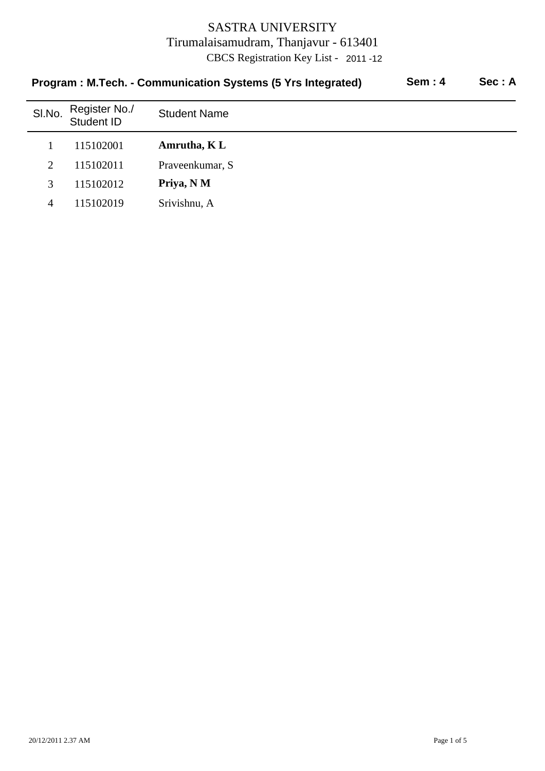| <b>Sem: 4</b><br>Program: M.Tech. - Communication Systems (5 Yrs Integrated) |                             |                     |  |  |
|------------------------------------------------------------------------------|-----------------------------|---------------------|--|--|
| SI.No.                                                                       | Register No./<br>Student ID | <b>Student Name</b> |  |  |
|                                                                              | 115102001                   | Amrutha, KL         |  |  |
| $\overline{2}$                                                               | 115102011                   | Praveenkumar, S     |  |  |
| 3                                                                            | 115102012                   | Priya, N M          |  |  |
| 4                                                                            | 115102019                   | Srivishnu, A        |  |  |

20/12/2011 2.37 AM Page 1 of 5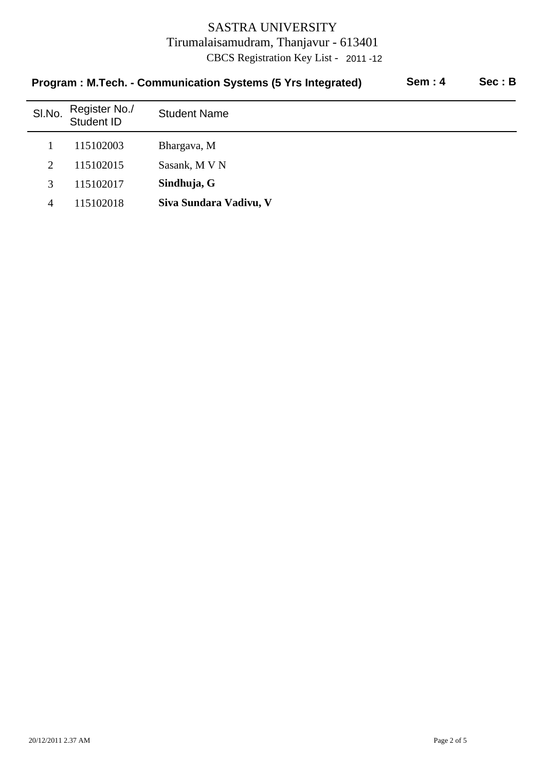| <b>Sem: 4</b><br>Program: M.Tech. - Communication Systems (5 Yrs Integrated) |                             |                        |  |  |
|------------------------------------------------------------------------------|-----------------------------|------------------------|--|--|
| SI.No.                                                                       | Register No./<br>Student ID | <b>Student Name</b>    |  |  |
|                                                                              | 115102003                   | Bhargava, M            |  |  |
| $\overline{2}$                                                               | 115102015                   | Sasank, M V N          |  |  |
| 3                                                                            | 115102017                   | Sindhuja, G            |  |  |
| 4                                                                            | 115102018                   | Siva Sundara Vadivu, V |  |  |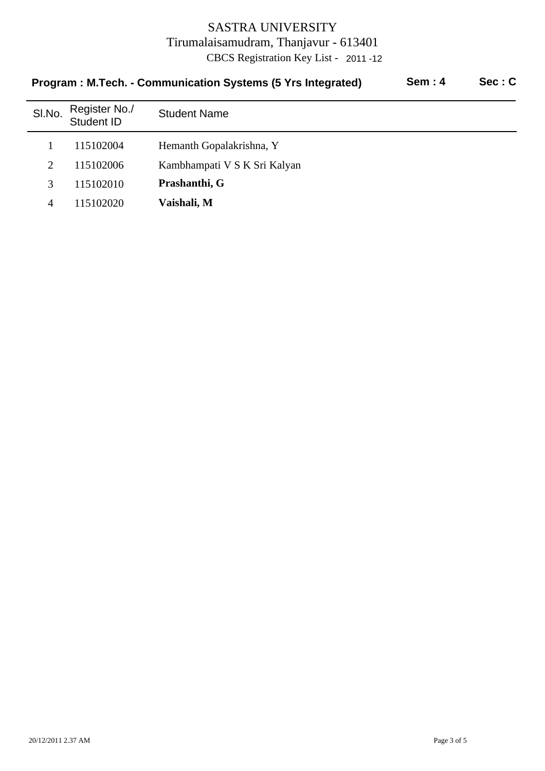| <b>Sem: 4</b><br>Program: M.Tech. - Communication Systems (5 Yrs Integrated) |                             |                              |  | Sec: C |
|------------------------------------------------------------------------------|-----------------------------|------------------------------|--|--------|
| SI.No.                                                                       | Register No./<br>Student ID | <b>Student Name</b>          |  |        |
|                                                                              | 115102004                   | Hemanth Gopalakrishna, Y     |  |        |
| 2                                                                            | 115102006                   | Kambhampati V S K Sri Kalyan |  |        |
| 3                                                                            | 115102010                   | Prashanthi, G                |  |        |
| 4                                                                            | 115102020                   | Vaishali, M                  |  |        |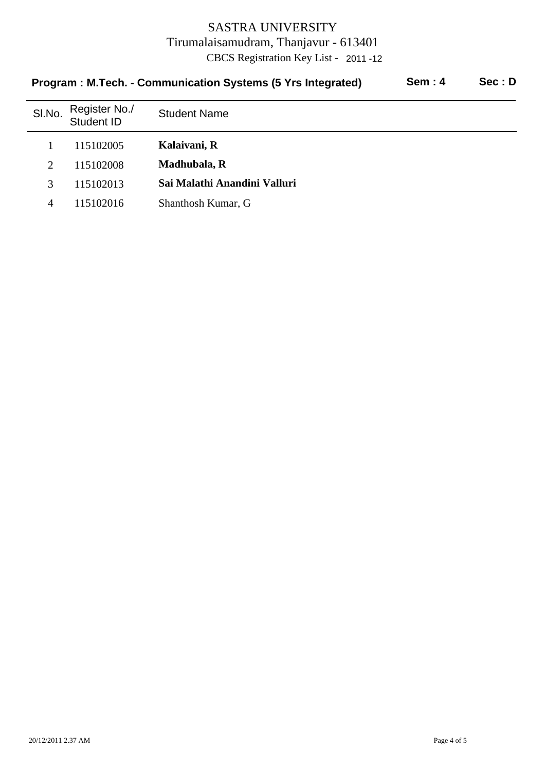| Sem:4<br>Sec: D<br>Program: M.Tech. - Communication Systems (5 Yrs Integrated) |                             |                              |  |  |
|--------------------------------------------------------------------------------|-----------------------------|------------------------------|--|--|
| SI.No.                                                                         | Register No./<br>Student ID | <b>Student Name</b>          |  |  |
|                                                                                | 115102005                   | Kalaivani, R                 |  |  |
| $\overline{2}$                                                                 | 115102008                   | Madhubala, R                 |  |  |
| 3                                                                              | 115102013                   | Sai Malathi Anandini Valluri |  |  |
| 4                                                                              | 115102016                   | Shanthosh Kumar, G           |  |  |